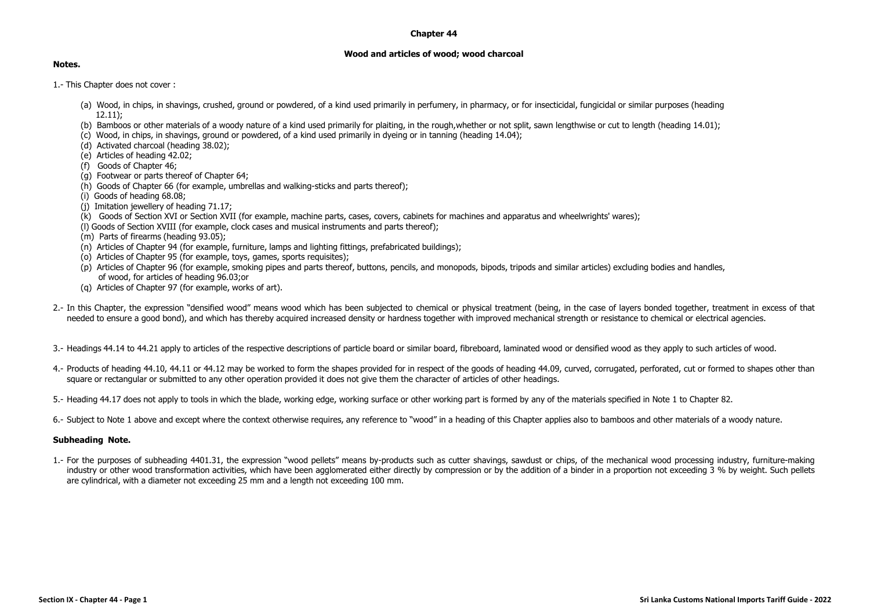## **Chapter 44**

## **Wood and articles of wood; wood charcoal**

## **Notes.**

- 1.- This Chapter does not cover :
	- (a) Wood, in chips, in shavings, crushed, ground or powdered, of a kind used primarily in perfumery, in pharmacy, or for insecticidal, fungicidal or similar purposes (heading 12.11);
	- (b) Bamboos or other materials of a woody nature of a kind used primarily for plaiting, in the rough,whether or not split, sawn lengthwise or cut to length (heading 14.01);
	- (c) Wood, in chips, in shavings, ground or powdered, of a kind used primarily in dyeing or in tanning (heading 14.04);
	- (d) Activated charcoal (heading 38.02);
	- $(e)$  Articles of heading  $42.02$ ;
	- (f) Goods of Chapter 46;
	- (g) Footwear or parts thereof of Chapter 64;
	- (h) Goods of Chapter 66 (for example, umbrellas and walking-sticks and parts thereof);
	- (i) Goods of heading 68.08;
	- (j) Imitation jewellery of heading 71.17;
	- (k) Goods of Section XVI or Section XVII (for example, machine parts, cases, covers, cabinets for machines and apparatus and wheelwrights' wares);
	- (l) Goods of Section XVIII (for example, clock cases and musical instruments and parts thereof);
	- (m) Parts of firearms (heading 93.05);
	- (n) Articles of Chapter 94 (for example, furniture, lamps and lighting fittings, prefabricated buildings);
	- (o) Articles of Chapter 95 (for example, toys, games, sports requisites);
	- (p) Articles of Chapter 96 (for example, smoking pipes and parts thereof, buttons, pencils, and monopods, bipods, tripods and similar articles) excluding bodies and handles, of wood, for articles of heading 96.03;or
	- (g) Articles of Chapter 97 (for example, works of art).
- 2.- In this Chapter, the expression "densified wood" means wood which has been subjected to chemical or physical treatment (being, in the case of layers bonded together, treatment in excess of that needed to ensure a good bond), and which has thereby acquired increased density or hardness together with improved mechanical strength or resistance to chemical or electrical agencies.
- 3.- Headings 44.14 to 44.21 apply to articles of the respective descriptions of particle board or similar board, fibreboard, laminated wood or densified wood as they apply to such articles of wood.
- 4.- Products of heading 44.10, 44.11 or 44.12 may be worked to form the shapes provided for in respect of the goods of heading 44.09, curved, corrugated, perforated, cut or formed to shapes other than square or rectangular or submitted to any other operation provided it does not give them the character of articles of other headings.
- 5.- Heading 44.17 does not apply to tools in which the blade, working edge, working surface or other working part is formed by any of the materials specified in Note 1 to Chapter 82.
- 6.- Subject to Note 1 above and except where the context otherwise requires, any reference to "wood" in a heading of this Chapter applies also to bamboos and other materials of a woody nature.

## **Subheading Note.**

1.- For the purposes of subheading 4401.31, the expression "wood pellets" means by-products such as cutter shavings, sawdust or chips, of the mechanical wood processing industry, furniture-making industry or other wood transformation activities, which have been agglomerated either directly by compression or by the addition of a binder in a proportion not exceeding 3 % by weight. Such pellets are cylindrical, with a diameter not exceeding 25 mm and a length not exceeding 100 mm.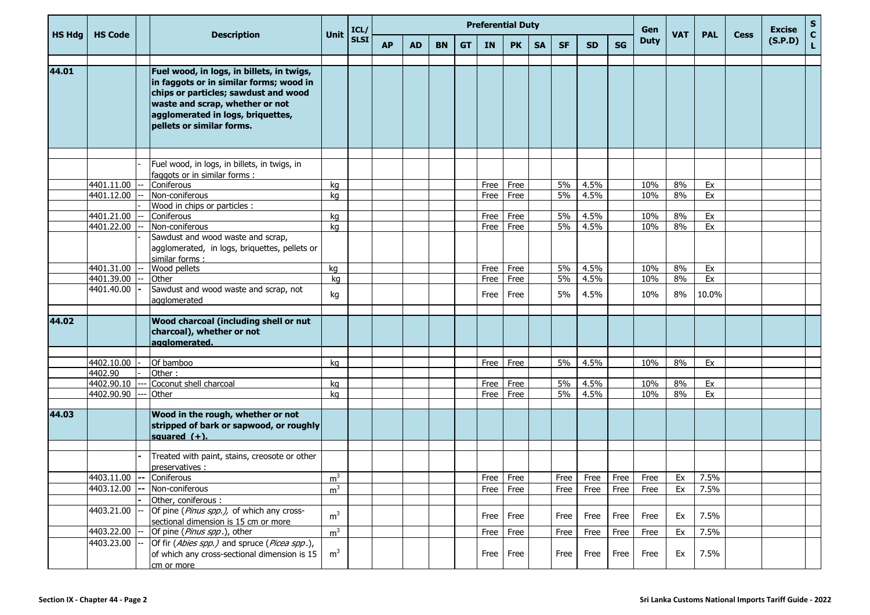|               | <b>HS Code</b>           |                                                                                                                                                                                                                                   | <b>Unit</b>    | ICL/        |           |    |           |           |      | <b>Preferential Duty</b> |           |           |           |           | Gen         | <b>VAT</b> |            | <b>Cess</b> | <b>Excise</b> | S<br>$\mathbf c$ |
|---------------|--------------------------|-----------------------------------------------------------------------------------------------------------------------------------------------------------------------------------------------------------------------------------|----------------|-------------|-----------|----|-----------|-----------|------|--------------------------|-----------|-----------|-----------|-----------|-------------|------------|------------|-------------|---------------|------------------|
| <b>HS Hdg</b> |                          | <b>Description</b>                                                                                                                                                                                                                |                | <b>SLSI</b> | <b>AP</b> | AD | <b>BN</b> | <b>GT</b> | IN.  | <b>PK</b>                | <b>SA</b> | <b>SF</b> | <b>SD</b> | <b>SG</b> | <b>Duty</b> |            | <b>PAL</b> |             | (S.P.D)       | L                |
| 44.01         |                          | Fuel wood, in logs, in billets, in twigs,<br>in faggots or in similar forms; wood in<br>chips or particles; sawdust and wood<br>waste and scrap, whether or not<br>agglomerated in logs, briquettes,<br>pellets or similar forms. |                |             |           |    |           |           |      |                          |           |           |           |           |             |            |            |             |               |                  |
|               |                          |                                                                                                                                                                                                                                   |                |             |           |    |           |           |      |                          |           |           |           |           |             |            |            |             |               |                  |
|               |                          | Fuel wood, in logs, in billets, in twigs, in<br>faggots or in similar forms :                                                                                                                                                     |                |             |           |    |           |           |      |                          |           |           |           |           |             |            |            |             |               |                  |
|               | 4401.11.00               | Coniferous                                                                                                                                                                                                                        | kg             |             |           |    |           |           | Free | Free                     |           | 5%        | 4.5%      |           | 10%         | 8%         | Ex         |             |               |                  |
|               | 4401.12.00               | Non-coniferous                                                                                                                                                                                                                    | kg             |             |           |    |           |           | Free | Free                     |           | 5%        | 4.5%      |           | 10%         | 8%         | Ex         |             |               |                  |
|               |                          | Wood in chips or particles :                                                                                                                                                                                                      |                |             |           |    |           |           |      |                          |           |           |           |           |             |            |            |             |               |                  |
|               | 4401.21.00               | Coniferous                                                                                                                                                                                                                        | kg             |             |           |    |           |           | Free | Free                     |           | 5%        | 4.5%      |           | 10%         | 8%         | Ex         |             |               |                  |
|               | 4401.22.00               | Non-coniferous                                                                                                                                                                                                                    | kg             |             |           |    |           |           | Free | Free                     |           | 5%        | 4.5%      |           | 10%         | 8%         | Ex         |             |               |                  |
|               |                          | Sawdust and wood waste and scrap,<br>agglomerated, in logs, briquettes, pellets or<br>similar forms:                                                                                                                              |                |             |           |    |           |           |      |                          |           |           |           |           |             |            |            |             |               |                  |
|               | 4401.31.00               | Wood pellets                                                                                                                                                                                                                      | kg             |             |           |    |           |           | Free | Free                     |           | 5%        | 4.5%      |           | 10%         | 8%         | Ex         |             |               |                  |
|               | 4401.39.00               | Other                                                                                                                                                                                                                             | kg             |             |           |    |           |           | Free | Free                     |           | 5%        | 4.5%      |           | 10%         | 8%         | Ex         |             |               |                  |
|               | 4401.40.00               | Sawdust and wood waste and scrap, not<br>agglomerated                                                                                                                                                                             | kg             |             |           |    |           |           | Free | Free                     |           | 5%        | 4.5%      |           | 10%         | 8%         | 10.0%      |             |               |                  |
| 44.02         |                          | Wood charcoal (including shell or nut<br>charcoal), whether or not<br>agglomerated.                                                                                                                                               |                |             |           |    |           |           |      |                          |           |           |           |           |             |            |            |             |               |                  |
|               |                          |                                                                                                                                                                                                                                   |                |             |           |    |           |           |      |                          |           |           |           |           |             |            |            |             |               |                  |
|               | 4402.10.00               | Of bamboo                                                                                                                                                                                                                         | ka             |             |           |    |           |           | Free | Free                     |           | 5%        | 4.5%      |           | 10%         | 8%         | Ex         |             |               |                  |
|               | 4402.90                  | Other:                                                                                                                                                                                                                            |                |             |           |    |           |           |      |                          |           |           |           |           |             |            |            |             |               |                  |
|               | 4402.90.10               | Coconut shell charcoal                                                                                                                                                                                                            | kg             |             |           |    |           |           | Free | Free                     |           | 5%        | 4.5%      |           | 10%         | 8%         | Ex         |             |               |                  |
|               | 4402.90.90               | Other                                                                                                                                                                                                                             | kg             |             |           |    |           |           | Free | Free                     |           | 5%        | 4.5%      |           | 10%         | 8%         | Ex         |             |               |                  |
| 44.03         |                          | Wood in the rough, whether or not<br>stripped of bark or sapwood, or roughly<br>squared $(+)$ .                                                                                                                                   |                |             |           |    |           |           |      |                          |           |           |           |           |             |            |            |             |               |                  |
|               |                          | Treated with paint, stains, creosote or other                                                                                                                                                                                     |                |             |           |    |           |           |      |                          |           |           |           |           |             |            |            |             |               |                  |
|               |                          | preservatives :                                                                                                                                                                                                                   |                |             |           |    |           |           |      |                          |           |           |           |           |             |            |            |             |               |                  |
|               | 4403.11.00 -- Coniferous |                                                                                                                                                                                                                                   | m <sup>3</sup> |             |           |    |           |           | Free | Free                     |           | Free      | Free      | Free      | Free        | Ex         | 7.5%       |             |               |                  |
|               | 4403.12.00               | Non-coniferous                                                                                                                                                                                                                    | m <sup>3</sup> |             |           |    |           |           |      | Free Free                |           | Free      | Free      | Free      | Free        | Ex         | 7.5%       |             |               |                  |
|               |                          | Other, coniferous :                                                                                                                                                                                                               |                |             |           |    |           |           |      |                          |           |           |           |           |             |            |            |             |               |                  |
|               | 4403.21.00               | Of pine (Pinus spp.), of which any cross-<br>sectional dimension is 15 cm or more                                                                                                                                                 | m <sup>3</sup> |             |           |    |           |           |      | Free Free                |           | Free      | Free      | Free      | Free        | Ex         | 7.5%       |             |               |                  |
|               | 4403.22.00               | Of pine (Pinus spp.), other                                                                                                                                                                                                       | m <sup>3</sup> |             |           |    |           |           | Free | Free                     |           | Free      | Free      | Free      | Free        | Ex         | 7.5%       |             |               |                  |
|               | 4403.23.00               | Of fir (Abies spp.) and spruce (Picea spp.),<br>of which any cross-sectional dimension is 15<br>cm or more                                                                                                                        | m <sup>3</sup> |             |           |    |           |           |      | Free Free                |           | Free      | Free      | Free      | Free        | Ex         | 7.5%       |             |               |                  |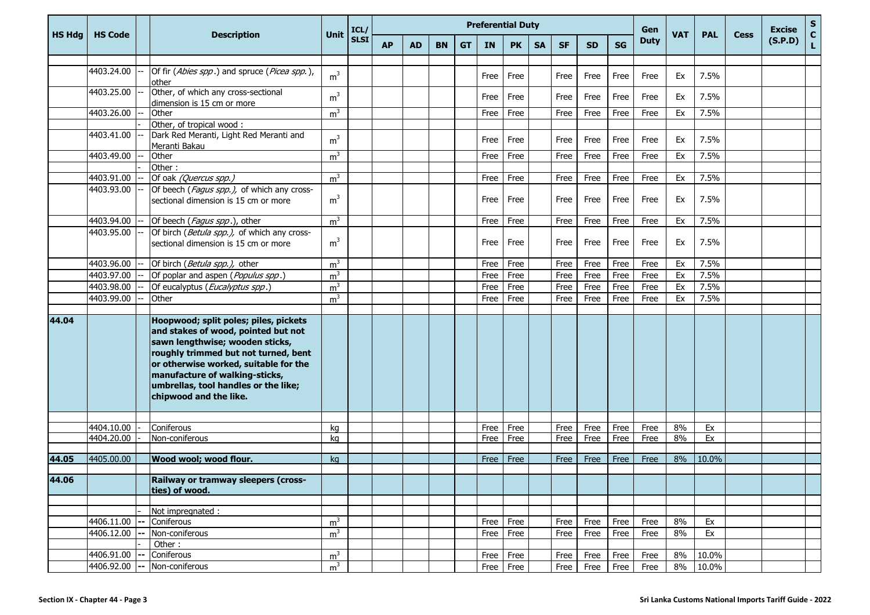|               |                |                                                                                                                                                                                                                                                                                                      |                | ICL/        |           |           |           |           |           | <b>Preferential Duty</b> |           | Gen       |      |           |             | <b>Excise</b> | $\frac{{\sf s}}{{\sf c}}$ |             |         |   |
|---------------|----------------|------------------------------------------------------------------------------------------------------------------------------------------------------------------------------------------------------------------------------------------------------------------------------------------------------|----------------|-------------|-----------|-----------|-----------|-----------|-----------|--------------------------|-----------|-----------|------|-----------|-------------|---------------|---------------------------|-------------|---------|---|
| <b>HS Hdg</b> | <b>HS Code</b> | <b>Description</b>                                                                                                                                                                                                                                                                                   | <b>Unit</b>    | <b>SLSI</b> | <b>AP</b> | <b>AD</b> | <b>BN</b> | <b>GT</b> | <b>IN</b> | <b>PK</b>                | <b>SA</b> | <b>SF</b> | SD.  | <b>SG</b> | <b>Duty</b> | <b>VAT</b>    | <b>PAL</b>                | <b>Cess</b> | (S.P.D) | L |
|               |                |                                                                                                                                                                                                                                                                                                      |                |             |           |           |           |           |           |                          |           |           |      |           |             |               |                           |             |         |   |
|               | 4403.24.00     | Of fir (Abies spp.) and spruce (Picea spp.),<br>other                                                                                                                                                                                                                                                | m <sup>3</sup> |             |           |           |           |           | Free      | Free                     |           | Free      | Free | Free      | Free        | Ex            | 7.5%                      |             |         |   |
|               | 4403.25.00     | Other, of which any cross-sectional<br>dimension is 15 cm or more                                                                                                                                                                                                                                    | m <sup>3</sup> |             |           |           |           |           | Free      | Free                     |           | Free      | Free | Free      | Free        | Ex            | 7.5%                      |             |         |   |
|               | 4403.26.00     | Other                                                                                                                                                                                                                                                                                                | m <sup>3</sup> |             |           |           |           |           | Free      | Free                     |           | Free      | Free | Free      | Free        | Ex            | 7.5%                      |             |         |   |
|               |                | Other, of tropical wood:                                                                                                                                                                                                                                                                             |                |             |           |           |           |           |           |                          |           |           |      |           |             |               |                           |             |         |   |
|               | 4403.41.00     | Dark Red Meranti, Light Red Meranti and<br>Meranti Bakau                                                                                                                                                                                                                                             | m <sup>3</sup> |             |           |           |           |           | Free      | Free                     |           | Free      | Free | Free      | Free        | Ex            | 7.5%                      |             |         |   |
|               | 4403.49.00     | Other                                                                                                                                                                                                                                                                                                | m <sup>3</sup> |             |           |           |           |           | Free      | Free                     |           | Free      | Free | Free      | Free        | Ex            | 7.5%                      |             |         |   |
|               |                | Other:                                                                                                                                                                                                                                                                                               |                |             |           |           |           |           |           |                          |           |           |      |           |             |               |                           |             |         |   |
|               | 4403.91.00     | Of oak (Quercus spp.)                                                                                                                                                                                                                                                                                | m <sup>3</sup> |             |           |           |           |           | Free      | Free                     |           | Free      | Free | Free      | Free        | Ex            | 7.5%                      |             |         |   |
|               | 4403.93.00     | Of beech (Fagus spp.), of which any cross-<br>sectional dimension is 15 cm or more                                                                                                                                                                                                                   | m <sup>3</sup> |             |           |           |           |           | Free      | Free                     |           | Free      | Free | Free      | Free        | Ex            | 7.5%                      |             |         |   |
|               | 4403.94.00     | Of beech (Fagus spp.), other                                                                                                                                                                                                                                                                         | m <sup>3</sup> |             |           |           |           |           | Free      | Free                     |           | Free      | Free | Free      | Free        | Ex            | 7.5%                      |             |         |   |
|               | 4403.95.00     | Of birch (Betula spp.), of which any cross-<br>sectional dimension is 15 cm or more                                                                                                                                                                                                                  | m <sup>3</sup> |             |           |           |           |           | Free      | Free                     |           | Free      | Free | Free      | Free        | Ex            | 7.5%                      |             |         |   |
|               |                |                                                                                                                                                                                                                                                                                                      |                |             |           |           |           |           |           |                          |           |           |      |           |             |               |                           |             |         |   |
|               | 4403.96.00     | Of birch (Betula spp.), other                                                                                                                                                                                                                                                                        | m <sup>3</sup> |             |           |           |           |           | Free      | Free                     |           | Free      | Free | Free      | Free        | Ex            | 7.5%                      |             |         |   |
|               | 4403.97.00     | Of poplar and aspen (Populus spp.)                                                                                                                                                                                                                                                                   | m <sup>3</sup> |             |           |           |           |           | Free      | Free                     |           | Free      | Free | Free      | Free        | Ex            | 7.5%                      |             |         |   |
|               | 4403.98.00     | Of eucalyptus (Eucalyptus spp.)                                                                                                                                                                                                                                                                      | m <sup>3</sup> |             |           |           |           |           | Free      | Free                     |           | Free      | Free | Free      | Free        | Ex            | 7.5%                      |             |         |   |
|               | 4403.99.00     | Other                                                                                                                                                                                                                                                                                                | m <sup>3</sup> |             |           |           |           |           | Free      | Free                     |           | Free      | Free | Free      | Free        | Ex            | 7.5%                      |             |         |   |
| 44.04         |                | Hoopwood; split poles; piles, pickets<br>and stakes of wood, pointed but not<br>sawn lengthwise; wooden sticks,<br>roughly trimmed but not turned, bent<br>or otherwise worked, suitable for the<br>manufacture of walking-sticks,<br>umbrellas, tool handles or the like;<br>chipwood and the like. |                |             |           |           |           |           |           |                          |           |           |      |           |             |               |                           |             |         |   |
|               | 4404.10.00     | Coniferous                                                                                                                                                                                                                                                                                           | kq             |             |           |           |           |           | Free      | Free                     |           | Free      | Free | Free      | Free        | 8%            | Ex                        |             |         |   |
|               | 4404.20.00     | Non-coniferous                                                                                                                                                                                                                                                                                       | kg             |             |           |           |           |           | Free      | Free                     |           | Free      | Free | Free      | Free        | 8%            | Ex                        |             |         |   |
|               |                |                                                                                                                                                                                                                                                                                                      |                |             |           |           |           |           |           |                          |           |           |      |           |             |               |                           |             |         |   |
| 44.05         | 4405.00.00     | <b>Wood wool; wood flour.</b>                                                                                                                                                                                                                                                                        | kg             |             |           |           |           |           | Free      | Free                     |           | Free      | Free | Free      | Free        | 8%            | 10.0%                     |             |         |   |
| 44.06         |                | Railway or tramway sleepers (cross-<br>ties) of wood.                                                                                                                                                                                                                                                |                |             |           |           |           |           |           |                          |           |           |      |           |             |               |                           |             |         |   |
|               |                |                                                                                                                                                                                                                                                                                                      |                |             |           |           |           |           |           |                          |           |           |      |           |             |               |                           |             |         |   |
|               |                | Not impregnated :                                                                                                                                                                                                                                                                                    |                |             |           |           |           |           |           |                          |           |           |      |           |             |               |                           |             |         |   |
|               | 4406.11.00     | Coniferous                                                                                                                                                                                                                                                                                           | m <sup>3</sup> |             |           |           |           |           | Free      | Free                     |           | Free      | Free | Free      | Free        | 8%            | Ex                        |             |         |   |
|               | 4406.12.00     | Non-coniferous                                                                                                                                                                                                                                                                                       | m <sup>3</sup> |             |           |           |           |           |           | Free Free                |           | Free      | Free | Free      | Free        | 8%            | Ex                        |             |         |   |
|               |                | Other:                                                                                                                                                                                                                                                                                               |                |             |           |           |           |           |           |                          |           |           |      |           |             |               |                           |             |         |   |
|               | 4406.91.00     | Coniferous                                                                                                                                                                                                                                                                                           | m <sup>3</sup> |             |           |           |           |           |           | Free Free                |           | Free      | Free | Free      | Free        | 8%            | 10.0%                     |             |         |   |
|               | 4406.92.00     | Non-coniferous                                                                                                                                                                                                                                                                                       | m <sup>3</sup> |             |           |           |           |           |           | Free Free                |           | Free      | Free | Free      | Free        | 8%            | 10.0%                     |             |         |   |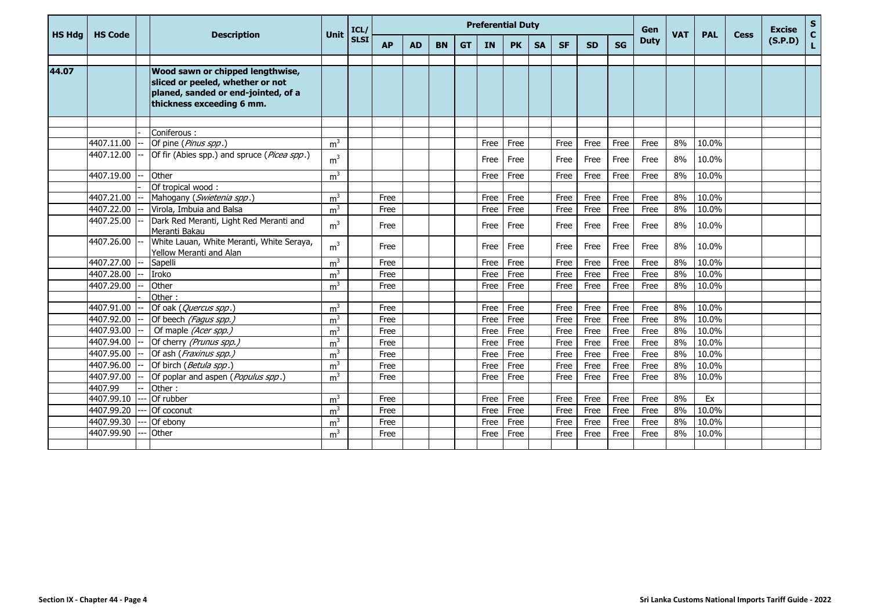|               |                |                                                                                                                                          |                | ICL/        |           |           |           |           |           | <b>Preferential Duty</b> |           |           |           | Gen       |             |            |            | <b>Excise</b> |         |             |
|---------------|----------------|------------------------------------------------------------------------------------------------------------------------------------------|----------------|-------------|-----------|-----------|-----------|-----------|-----------|--------------------------|-----------|-----------|-----------|-----------|-------------|------------|------------|---------------|---------|-------------|
| <b>HS Hdg</b> | <b>HS Code</b> | <b>Description</b>                                                                                                                       | <b>Unit</b>    | <b>SLSI</b> | <b>AP</b> | <b>AD</b> | <b>BN</b> | <b>GT</b> | <b>IN</b> | <b>PK</b>                | <b>SA</b> | <b>SF</b> | <b>SD</b> | <b>SG</b> | <b>Duty</b> | <b>VAT</b> | <b>PAL</b> | <b>Cess</b>   | (S.P.D) | S<br>C<br>L |
|               |                |                                                                                                                                          |                |             |           |           |           |           |           |                          |           |           |           |           |             |            |            |               |         |             |
| 44.07         |                | Wood sawn or chipped lengthwise,<br>sliced or peeled, whether or not<br>planed, sanded or end-jointed, of a<br>thickness exceeding 6 mm. |                |             |           |           |           |           |           |                          |           |           |           |           |             |            |            |               |         |             |
|               |                |                                                                                                                                          |                |             |           |           |           |           |           |                          |           |           |           |           |             |            |            |               |         |             |
|               |                | Coniferous:                                                                                                                              |                |             |           |           |           |           |           |                          |           |           |           |           |             |            |            |               |         |             |
|               | 4407.11.00     | Of pine (Pinus spp.)                                                                                                                     | m <sup>3</sup> |             |           |           |           |           | Free      | Free                     |           | Free      | Free      | Free      | Free        | 8%         | 10.0%      |               |         |             |
|               | 4407.12.00     | Of fir (Abies spp.) and spruce (Picea spp.)                                                                                              | m <sup>3</sup> |             |           |           |           |           | Free      | Free                     |           | Free      | Free      | Free      | Free        | 8%         | 10.0%      |               |         |             |
|               | 4407.19.00     | Other                                                                                                                                    | m <sup>3</sup> |             |           |           |           |           | Free      | Free                     |           | Free      | Free      | Free      | Free        | 8%         | 10.0%      |               |         |             |
|               |                | Of tropical wood:                                                                                                                        |                |             |           |           |           |           |           |                          |           |           |           |           |             |            |            |               |         |             |
|               | 4407.21.00     | Mahogany (Swietenia spp.)                                                                                                                | m <sup>3</sup> |             | Free      |           |           |           | Free      | Free                     |           | Free      | Free      | Free      | Free        | 8%         | 10.0%      |               |         |             |
|               | 4407.22.00     | Virola, Imbuia and Balsa                                                                                                                 | m <sup>3</sup> |             | Free      |           |           |           | Free      | Free                     |           | Free      | Free      | Free      | Free        | 8%         | 10.0%      |               |         |             |
|               | 4407.25.00     | Dark Red Meranti, Light Red Meranti and<br>Meranti Bakau                                                                                 | m <sup>3</sup> |             | Free      |           |           |           | Free      | Free                     |           | Free      | Free      | Free      | Free        | 8%         | 10.0%      |               |         |             |
|               | 4407.26.00     | White Lauan, White Meranti, White Seraya,<br>Yellow Meranti and Alan                                                                     | m <sup>3</sup> |             | Free      |           |           |           | Free      | Free                     |           | Free      | Free      | Free      | Free        | 8%         | 10.0%      |               |         |             |
|               | 4407.27.00     | Sapelli                                                                                                                                  | m <sup>3</sup> |             | Free      |           |           |           | Free      | Free                     |           | Free      | Free      | Free      | Free        | 8%         | 10.0%      |               |         |             |
|               | 4407.28.00     | Iroko                                                                                                                                    | m <sup>3</sup> |             | Free      |           |           |           | Free      | Free                     |           | Free      | Free      | Free      | Free        | 8%         | 10.0%      |               |         |             |
|               | 4407.29.00     | Other                                                                                                                                    | m <sup>3</sup> |             | Free      |           |           |           | Free      | Free                     |           | Free      | Free      | Free      | Free        | 8%         | 10.0%      |               |         |             |
|               |                | Other:                                                                                                                                   |                |             |           |           |           |           |           |                          |           |           |           |           |             |            |            |               |         |             |
|               | 4407.91.00     | Of oak (Quercus spp.)                                                                                                                    | m <sup>3</sup> |             | Free      |           |           |           | Free      | Free                     |           | Free      | Free      | Free      | Free        | 8%         | 10.0%      |               |         |             |
|               | 4407.92.00     | Of beech (Fagus spp.)                                                                                                                    | m <sup>3</sup> |             | Free      |           |           |           | Free      | Free                     |           | Free      | Free      | Free      | Free        | 8%         | 10.0%      |               |         |             |
|               | 4407.93.00     | Of maple (Acer spp.)                                                                                                                     | m <sup>3</sup> |             | Free      |           |           |           | Free      | Free                     |           | Free      | Free      | Free      | Free        | 8%         | 10.0%      |               |         |             |
|               | 4407.94.00     | Of cherry (Prunus spp.)                                                                                                                  | m <sup>3</sup> |             | Free      |           |           |           | Free      | Free                     |           | Free      | Free      | Free      | Free        | 8%         | 10.0%      |               |         |             |
|               | 4407.95.00     | Of ash (Fraxinus spp.)                                                                                                                   | m <sup>3</sup> |             | Free      |           |           |           | Free      | Free                     |           | Free      | Free      | Free      | Free        | 8%         | 10.0%      |               |         |             |
|               | 4407.96.00     | Of birch (Betula spp.)                                                                                                                   | m <sup>3</sup> |             | Free      |           |           |           | Free      | Free                     |           | Free      | Free      | Free      | Free        | 8%         | 10.0%      |               |         |             |
|               | 4407.97.00     | Of poplar and aspen (Populus spp.)                                                                                                       | m <sup>3</sup> |             | Free      |           |           |           | Free      | Free                     |           | Free      | Free      | Free      | Free        | 8%         | 10.0%      |               |         |             |
|               | 4407.99        | Other:                                                                                                                                   |                |             |           |           |           |           |           |                          |           |           |           |           |             |            |            |               |         |             |
|               | 4407.99.10     | Of rubber                                                                                                                                | m <sup>3</sup> |             | Free      |           |           |           | Free      | Free                     |           | Free      | Free      | Free      | Free        | 8%         | Ex         |               |         |             |
|               | 4407.99.20     | Of coconut                                                                                                                               | m <sup>3</sup> |             | Free      |           |           |           | Free      | Free                     |           | Free      | Free      | Free      | Free        | 8%         | 10.0%      |               |         |             |
|               | 4407.99.30     | Of ebony                                                                                                                                 | m <sup>3</sup> |             | Free      |           |           |           | Free      | Free                     |           | Free      | Free      | Free      | Free        | 8%         | 10.0%      |               |         |             |
|               | 4407.99.90     | Other                                                                                                                                    | m <sup>3</sup> |             | Free      |           |           |           | Free      | Free                     |           | Free      | Free      | Free      | Free        | 8%         | 10.0%      |               |         |             |
|               |                |                                                                                                                                          |                |             |           |           |           |           |           |                          |           |           |           |           |             |            |            |               |         |             |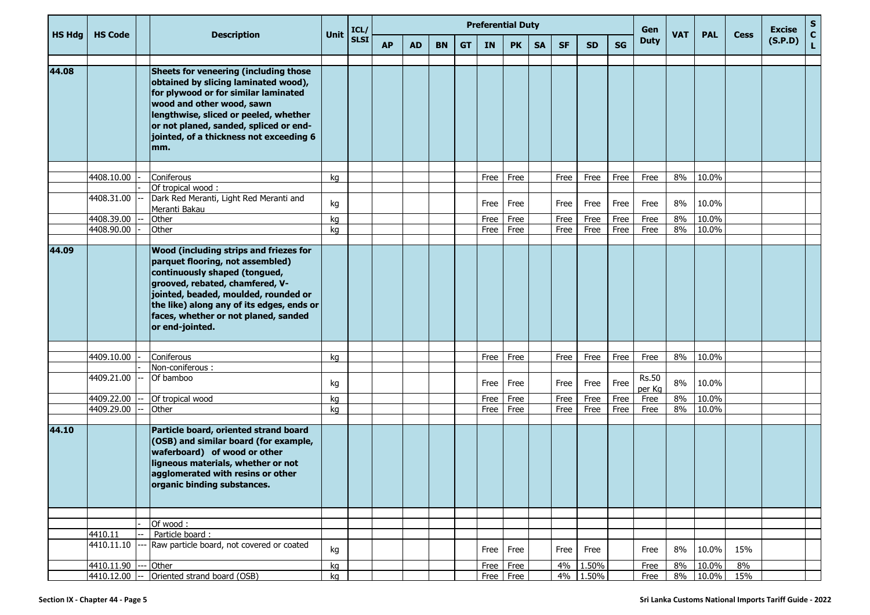|               |                |                                                                                                                                                                                                                                                                                                       |      | ICL/        |           |           |           |           |      | <b>Preferential Duty</b> |           | Gen       |           |           |                        | <b>Excise</b> | S          |             |         |        |
|---------------|----------------|-------------------------------------------------------------------------------------------------------------------------------------------------------------------------------------------------------------------------------------------------------------------------------------------------------|------|-------------|-----------|-----------|-----------|-----------|------|--------------------------|-----------|-----------|-----------|-----------|------------------------|---------------|------------|-------------|---------|--------|
| <b>HS Hdg</b> | <b>HS Code</b> | <b>Description</b>                                                                                                                                                                                                                                                                                    | Unit | <b>SLSI</b> | <b>AP</b> | <b>AD</b> | <b>BN</b> | <b>GT</b> | IN   | <b>PK</b>                | <b>SA</b> | <b>SF</b> | <b>SD</b> | <b>SG</b> | <b>Duty</b>            | <b>VAT</b>    | <b>PAL</b> | <b>Cess</b> | (S.P.D) | C<br>L |
| 44.08         |                | Sheets for veneering (including those<br>obtained by slicing laminated wood),<br>for plywood or for similar laminated<br>wood and other wood, sawn<br>lengthwise, sliced or peeled, whether<br>or not planed, sanded, spliced or end-<br>jointed, of a thickness not exceeding 6<br>mm.               |      |             |           |           |           |           |      |                          |           |           |           |           |                        |               |            |             |         |        |
|               |                |                                                                                                                                                                                                                                                                                                       |      |             |           |           |           |           |      |                          |           |           |           |           |                        |               |            |             |         |        |
|               | 4408.10.00     | Coniferous<br>Of tropical wood:                                                                                                                                                                                                                                                                       | kq   |             |           |           |           |           | Free | Free                     |           | Free      | Free      | Free      | Free                   | 8%            | 10.0%      |             |         |        |
|               | 4408.31.00     | Dark Red Meranti, Light Red Meranti and<br>Meranti Bakau                                                                                                                                                                                                                                              | kg   |             |           |           |           |           | Free | Free                     |           | Free      | Free      | Free      | Free                   | 8%            | 10.0%      |             |         |        |
|               | 4408.39.00     | Other                                                                                                                                                                                                                                                                                                 | kg   |             |           |           |           |           | Free | Free                     |           | Free      | Free      | Free      | Free                   | 8%            | 10.0%      |             |         |        |
|               | 4408.90.00     | Other                                                                                                                                                                                                                                                                                                 | kg   |             |           |           |           |           | Free | Free                     |           | Free      | Free      | Free      | Free                   | 8%            | 10.0%      |             |         |        |
| 44.09         |                | <b>Wood (including strips and friezes for</b><br>parquet flooring, not assembled)<br>continuously shaped (tongued,<br>grooved, rebated, chamfered, V-<br>jointed, beaded, moulded, rounded or<br>the like) along any of its edges, ends or<br>faces, whether or not planed, sanded<br>or end-jointed. |      |             |           |           |           |           |      |                          |           |           |           |           |                        |               |            |             |         |        |
|               | 4409.10.00     | Coniferous                                                                                                                                                                                                                                                                                            | kq   |             |           |           |           |           | Free | Free                     |           | Free      | Free      | Free      | Free                   | 8%            | 10.0%      |             |         |        |
|               |                | Non-coniferous:                                                                                                                                                                                                                                                                                       |      |             |           |           |           |           |      |                          |           |           |           |           |                        |               |            |             |         |        |
|               | 4409.21.00     | Of bamboo                                                                                                                                                                                                                                                                                             | kg   |             |           |           |           |           | Free | Free                     |           | Free      | Free      | Free      | <b>Rs.50</b><br>per Kg | 8%            | 10.0%      |             |         |        |
|               | 4409.22.00     | Of tropical wood                                                                                                                                                                                                                                                                                      | kg   |             |           |           |           |           | Free | Free                     |           | Free      | Free      | Free      | Free                   | 8%            | 10.0%      |             |         |        |
|               | 4409.29.00     | Other                                                                                                                                                                                                                                                                                                 | kg   |             |           |           |           |           | Free | Free                     |           | Free      | Free      | Free      | Free                   | 8%            | 10.0%      |             |         |        |
| 44.10         |                | Particle board, oriented strand board<br>(OSB) and similar board (for example,<br>waferboard) of wood or other<br>ligneous materials, whether or not<br>agglomerated with resins or other<br>organic binding substances.                                                                              |      |             |           |           |           |           |      |                          |           |           |           |           |                        |               |            |             |         |        |
|               |                |                                                                                                                                                                                                                                                                                                       |      |             |           |           |           |           |      |                          |           |           |           |           |                        |               |            |             |         |        |
|               | 4410.11        | Of wood:<br>Particle board:                                                                                                                                                                                                                                                                           |      |             |           |           |           |           |      |                          |           |           |           |           |                        |               |            |             |         |        |
|               | 4410.11.10     | Raw particle board, not covered or coated                                                                                                                                                                                                                                                             | kg   |             |           |           |           |           | Free | Free                     |           | Free      | Free      |           | Free                   | 8%            | 10.0%      | 15%         |         |        |
|               | 4410.11.90     | Other                                                                                                                                                                                                                                                                                                 | kg   |             |           |           |           |           | Free | Free                     |           | 4%        | 1.50%     |           | Free                   | 8%            | 10.0%      | 8%          |         |        |
|               | 4410.12.00     | Oriented strand board (OSB)                                                                                                                                                                                                                                                                           | kg   |             |           |           |           |           |      | Free Free                |           |           | 4% 1.50%  |           | Free                   | 8%            | 10.0%      | 15%         |         |        |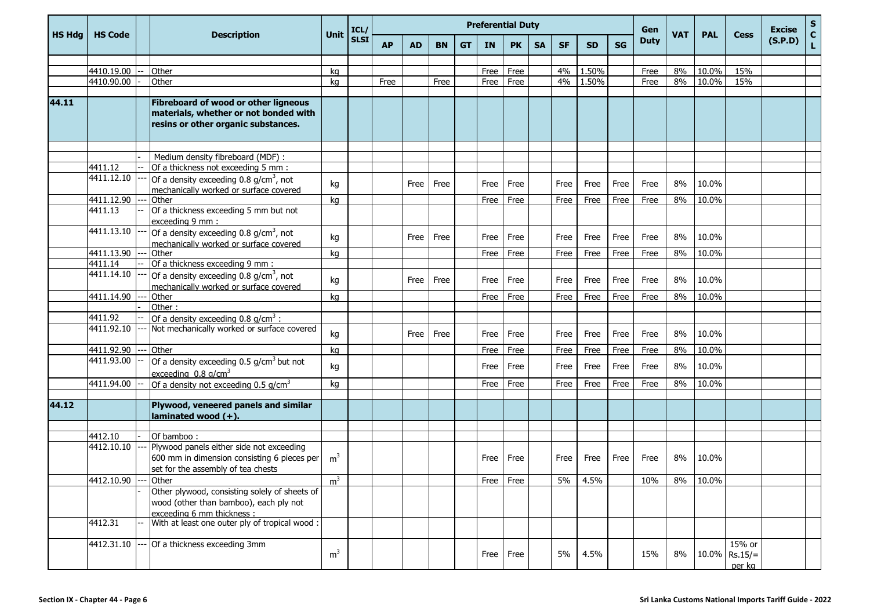|               |                |                                                                                                                               |                | ICL/        |           |           |           |           |           | <b>Preferential Duty</b> |           |           |           |           | Gen         |            |            |                                      | <b>Excise</b> |             |
|---------------|----------------|-------------------------------------------------------------------------------------------------------------------------------|----------------|-------------|-----------|-----------|-----------|-----------|-----------|--------------------------|-----------|-----------|-----------|-----------|-------------|------------|------------|--------------------------------------|---------------|-------------|
| <b>HS Hdg</b> | <b>HS Code</b> | <b>Description</b>                                                                                                            | Unit           | <b>SLSI</b> | <b>AP</b> | <b>AD</b> | <b>BN</b> | <b>GT</b> | <b>IN</b> | <b>PK</b>                | <b>SA</b> | <b>SF</b> | <b>SD</b> | <b>SG</b> | <b>Duty</b> | <b>VAT</b> | <b>PAL</b> | <b>Cess</b>                          | (S.P.D)       | S<br>C<br>L |
|               |                |                                                                                                                               |                |             |           |           |           |           |           |                          |           |           |           |           |             |            |            |                                      |               |             |
|               | 4410.19.00     | Other                                                                                                                         | kq             |             |           |           |           |           | Free      | Free                     |           | 4%        | 1.50%     |           | Free        | 8%         | 10.0%      | 15%                                  |               |             |
|               | 4410.90.00     | Other                                                                                                                         | kq             |             | Free      |           | Free      |           | Free      | Free                     |           | 4%        | 1.50%     |           | Free        | 8%         | 10.0%      | 15%                                  |               |             |
|               |                |                                                                                                                               |                |             |           |           |           |           |           |                          |           |           |           |           |             |            |            |                                      |               |             |
| 44.11         |                | Fibreboard of wood or other ligneous<br>materials, whether or not bonded with<br>resins or other organic substances.          |                |             |           |           |           |           |           |                          |           |           |           |           |             |            |            |                                      |               |             |
|               |                |                                                                                                                               |                |             |           |           |           |           |           |                          |           |           |           |           |             |            |            |                                      |               |             |
|               |                | Medium density fibreboard (MDF) :                                                                                             |                |             |           |           |           |           |           |                          |           |           |           |           |             |            |            |                                      |               |             |
|               | 4411.12        | Of a thickness not exceeding 5 mm :                                                                                           |                |             |           |           |           |           |           |                          |           |           |           |           |             |            |            |                                      |               |             |
|               | 4411.12.10     | Of a density exceeding 0.8 g/cm <sup>3</sup> , not<br>mechanically worked or surface covered                                  | kg             |             |           | Free      | Free      |           | Free      | Free                     |           | Free      | Free      | Free      | Free        | 8%         | 10.0%      |                                      |               |             |
|               | 4411.12.90     | Other                                                                                                                         | kq             |             |           |           |           |           | Free      | Free                     |           | Free      | Free      | Free      | Free        | 8%         | 10.0%      |                                      |               |             |
|               | 4411.13        | Of a thickness exceeding 5 mm but not<br>exceeding 9 mm :                                                                     |                |             |           |           |           |           |           |                          |           |           |           |           |             |            |            |                                      |               |             |
|               | 4411.13.10     | Of a density exceeding 0.8 g/cm <sup>3</sup> , not<br>mechanically worked or surface covered                                  | kg             |             |           | Free      | Free      |           | Free      | Free                     |           | Free      | Free      | Free      | Free        | 8%         | 10.0%      |                                      |               |             |
|               | 4411.13.90     | Other                                                                                                                         | kq             |             |           |           |           |           | Free      | Free                     |           | Free      | Free      | Free      | Free        | 8%         | 10.0%      |                                      |               |             |
|               | 4411.14        | Of a thickness exceeding 9 mm :                                                                                               |                |             |           |           |           |           |           |                          |           |           |           |           |             |            |            |                                      |               |             |
|               | 4411.14.10     | Of a density exceeding 0.8 g/cm <sup>3</sup> , not<br>mechanically worked or surface covered                                  | kg             |             |           | Free      | Free      |           | Free      | Free                     |           | Free      | Free      | Free      | Free        | 8%         | 10.0%      |                                      |               |             |
|               | 4411.14.90     | Other                                                                                                                         | kq             |             |           |           |           |           | Free      | Free                     |           | Free      | Free      | Free      | Free        | 8%         | 10.0%      |                                      |               |             |
|               |                | Other:                                                                                                                        |                |             |           |           |           |           |           |                          |           |           |           |           |             |            |            |                                      |               |             |
|               | 4411.92        | Of a density exceeding $0.8$ g/cm <sup>3</sup> :                                                                              |                |             |           |           |           |           |           |                          |           |           |           |           |             |            |            |                                      |               |             |
|               | 4411.92.10     | Not mechanically worked or surface covered                                                                                    | kg             |             |           | Free      | Free      |           | Free      | Free                     |           | Free      | Free      | Free      | Free        | 8%         | 10.0%      |                                      |               |             |
|               | 4411.92.90     | Other                                                                                                                         | kg             |             |           |           |           |           | Free      | Free                     |           | Free      | Free      | Free      | Free        | 8%         | 10.0%      |                                      |               |             |
|               | 4411.93.00     | Of a density exceeding 0.5 g/cm <sup>3</sup> but not<br>exceeding $0.8$ g/cm <sup>3</sup>                                     | kg             |             |           |           |           |           | Free      | Free                     |           | Free      | Free      | Free      | Free        | 8%         | 10.0%      |                                      |               |             |
|               | 4411.94.00     | Of a density not exceeding $0.5$ g/cm <sup>3</sup>                                                                            | kg             |             |           |           |           |           | Free      | Free                     |           | Free      | Free      | Free      | Free        | 8%         | 10.0%      |                                      |               |             |
|               |                |                                                                                                                               |                |             |           |           |           |           |           |                          |           |           |           |           |             |            |            |                                      |               |             |
| 44.12         |                | Plywood, veneered panels and similar<br>$l$ aminated wood $(+)$ .                                                             |                |             |           |           |           |           |           |                          |           |           |           |           |             |            |            |                                      |               |             |
|               |                |                                                                                                                               |                |             |           |           |           |           |           |                          |           |           |           |           |             |            |            |                                      |               |             |
|               | 4412.10        | Of bamboo:                                                                                                                    |                |             |           |           |           |           |           |                          |           |           |           |           |             |            |            |                                      |               |             |
|               | 4412.10.10     | Plywood panels either side not exceeding<br>600 mm in dimension consisting 6 pieces per<br>set for the assembly of tea chests | m <sup>3</sup> |             |           |           |           |           | Free      | Free                     |           | Free      | Free      | Free      | Free        | 8%         | 10.0%      |                                      |               |             |
|               | 4412.10.90     | - IOther                                                                                                                      | m <sup>3</sup> |             |           |           |           |           |           | Free   Free              |           | $5\%$     | 4.5%      |           | 10%         |            | 8%   10.0% |                                      |               |             |
|               |                | Other plywood, consisting solely of sheets of<br>wood (other than bamboo), each ply not<br>exceeding 6 mm thickness :         |                |             |           |           |           |           |           |                          |           |           |           |           |             |            |            |                                      |               |             |
|               | 4412.31        | With at least one outer ply of tropical wood :                                                                                |                |             |           |           |           |           |           |                          |           |           |           |           |             |            |            |                                      |               |             |
|               | 4412.31.10     | Of a thickness exceeding 3mm                                                                                                  | m <sup>3</sup> |             |           |           |           |           | Free      | Free                     |           | 5%        | 4.5%      |           | 15%         | 8%         |            | 15% or<br>$10.0\%$ Rs.15/=<br>per ka |               |             |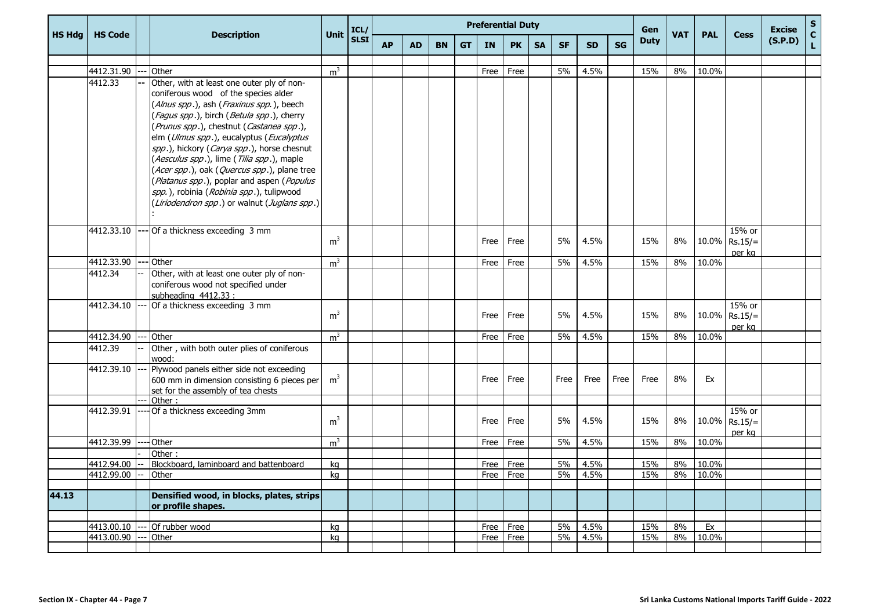|               |                |                                                                                                                                                                                                                                                                                                                                                                                                                                                                                                                                                         |                | ICL/        |           |           |           |           |           | <b>Preferential Duty</b> |           | Gen       |           |           |             | <b>Excise</b> | S          |                                        |         |             |
|---------------|----------------|---------------------------------------------------------------------------------------------------------------------------------------------------------------------------------------------------------------------------------------------------------------------------------------------------------------------------------------------------------------------------------------------------------------------------------------------------------------------------------------------------------------------------------------------------------|----------------|-------------|-----------|-----------|-----------|-----------|-----------|--------------------------|-----------|-----------|-----------|-----------|-------------|---------------|------------|----------------------------------------|---------|-------------|
| <b>HS Hdg</b> | <b>HS Code</b> | <b>Description</b>                                                                                                                                                                                                                                                                                                                                                                                                                                                                                                                                      | <b>Unit</b>    | <b>SLSI</b> | <b>AP</b> | <b>AD</b> | <b>BN</b> | <b>GT</b> | <b>IN</b> | <b>PK</b>                | <b>SA</b> | <b>SF</b> | <b>SD</b> | <b>SG</b> | <b>Duty</b> | <b>VAT</b>    | <b>PAL</b> | <b>Cess</b>                            | (S.P.D) | $\mathbf c$ |
|               |                |                                                                                                                                                                                                                                                                                                                                                                                                                                                                                                                                                         |                |             |           |           |           |           |           |                          |           |           |           |           |             |               |            |                                        |         |             |
|               | 4412.31.90     | Other                                                                                                                                                                                                                                                                                                                                                                                                                                                                                                                                                   | m <sup>3</sup> |             |           |           |           |           | Free      | Free                     |           | 5%        | 4.5%      |           | 15%         | 8%            | 10.0%      |                                        |         |             |
|               | 4412.33        | Other, with at least one outer ply of non-<br>coniferous wood of the species alder<br>(Alnus spp.), ash (Fraxinus spp.), beech<br>(Fagus spp.), birch (Betula spp.), cherry<br>(Prunus spp.), chestnut (Castanea spp.),<br>elm (Ulmus spp.), eucalyptus (Eucalyptus<br>spp.), hickory (Carya spp.), horse chesnut<br>(Aesculus spp.), lime (Tilia spp.), maple<br>(Acer spp.), oak (Quercus spp.), plane tree<br>(Platanus spp.), poplar and aspen (Populus<br>spp.), robinia (Robinia spp.), tulipwood<br>(Liriodendron spp.) or walnut (Juglans spp.) |                |             |           |           |           |           |           |                          |           |           |           |           |             |               |            |                                        |         |             |
|               | 4412.33.10     | Of a thickness exceeding 3 mm                                                                                                                                                                                                                                                                                                                                                                                                                                                                                                                           | m <sup>3</sup> |             |           |           |           |           | Free      | Free                     |           | 5%        | 4.5%      |           | 15%         | 8%            |            | $15%$ or<br>$10.0\%$ Rs.15/=<br>per kg |         |             |
|               | 4412.33.90     | Other                                                                                                                                                                                                                                                                                                                                                                                                                                                                                                                                                   | m <sup>3</sup> |             |           |           |           |           | Free      | Free                     |           | 5%        | 4.5%      |           | 15%         | 8%            | 10.0%      |                                        |         |             |
|               | 4412.34        | Other, with at least one outer ply of non-<br>coniferous wood not specified under<br>subheading 4412.33 :                                                                                                                                                                                                                                                                                                                                                                                                                                               |                |             |           |           |           |           |           |                          |           |           |           |           |             |               |            |                                        |         |             |
|               | 4412.34.10     | Of a thickness exceeding 3 mm                                                                                                                                                                                                                                                                                                                                                                                                                                                                                                                           | m <sup>3</sup> |             |           |           |           |           | Free      | Free                     |           | 5%        | 4.5%      |           | 15%         | 8%            |            | 15% or<br>$10.0\%$ Rs.15/=<br>per kg   |         |             |
|               | 4412.34.90     | Other                                                                                                                                                                                                                                                                                                                                                                                                                                                                                                                                                   | m <sup>3</sup> |             |           |           |           |           | Free      | Free                     |           | 5%        | 4.5%      |           | 15%         | 8%            | 10.0%      |                                        |         |             |
|               | 4412.39        | Other, with both outer plies of coniferous<br>wood:                                                                                                                                                                                                                                                                                                                                                                                                                                                                                                     |                |             |           |           |           |           |           |                          |           |           |           |           |             |               |            |                                        |         |             |
|               | 4412.39.10     | Plywood panels either side not exceeding<br>600 mm in dimension consisting 6 pieces per<br>set for the assembly of tea chests                                                                                                                                                                                                                                                                                                                                                                                                                           | m <sup>3</sup> |             |           |           |           |           | Free      | Free                     |           | Free      | Free      | Free      | Free        | 8%            | Ex         |                                        |         |             |
|               | 4412.39.91     | Other:<br>Of a thickness exceeding 3mm                                                                                                                                                                                                                                                                                                                                                                                                                                                                                                                  |                |             |           |           |           |           |           |                          |           |           |           |           |             |               |            | 15% or                                 |         |             |
|               |                |                                                                                                                                                                                                                                                                                                                                                                                                                                                                                                                                                         | m <sup>3</sup> |             |           |           |           |           | Free      | Free                     |           | 5%        | 4.5%      |           | 15%         | 8%            |            | $10.0\%$ Rs.15/=<br>per ka             |         |             |
|               | 4412.39.99     | Other                                                                                                                                                                                                                                                                                                                                                                                                                                                                                                                                                   | m <sup>3</sup> |             |           |           |           |           | Free      | Free                     |           | 5%        | 4.5%      |           | 15%         | 8%            | 10.0%      |                                        |         |             |
|               |                | Other:                                                                                                                                                                                                                                                                                                                                                                                                                                                                                                                                                  |                |             |           |           |           |           |           |                          |           |           |           |           |             |               |            |                                        |         |             |
|               | 4412.94.00     | Blockboard, laminboard and battenboard                                                                                                                                                                                                                                                                                                                                                                                                                                                                                                                  | kg             |             |           |           |           |           | Free      | Free                     |           | 5%        | 4.5%      |           | 15%         | 8%            | 10.0%      |                                        |         |             |
|               | 4412.99.00     | Other                                                                                                                                                                                                                                                                                                                                                                                                                                                                                                                                                   | ka             |             |           |           |           |           | Free      | Free                     |           | 5%        | 4.5%      |           | 15%         | 8%            | 10.0%      |                                        |         |             |
| 44.13         |                | Densified wood, in blocks, plates, strips<br>or profile shapes.                                                                                                                                                                                                                                                                                                                                                                                                                                                                                         |                |             |           |           |           |           |           |                          |           |           |           |           |             |               |            |                                        |         |             |
|               | 4413.00.10     | Of rubber wood                                                                                                                                                                                                                                                                                                                                                                                                                                                                                                                                          | kq             |             |           |           |           |           | Free      | Free                     |           | 5%        | 4.5%      |           | 15%         | 8%            | Ex         |                                        |         |             |
|               | 4413.00.90     | Other                                                                                                                                                                                                                                                                                                                                                                                                                                                                                                                                                   | kq             |             |           |           |           |           | Free      | Free                     |           | 5%        | 4.5%      |           | 15%         | 8%            | 10.0%      |                                        |         |             |
|               |                |                                                                                                                                                                                                                                                                                                                                                                                                                                                                                                                                                         |                |             |           |           |           |           |           |                          |           |           |           |           |             |               |            |                                        |         |             |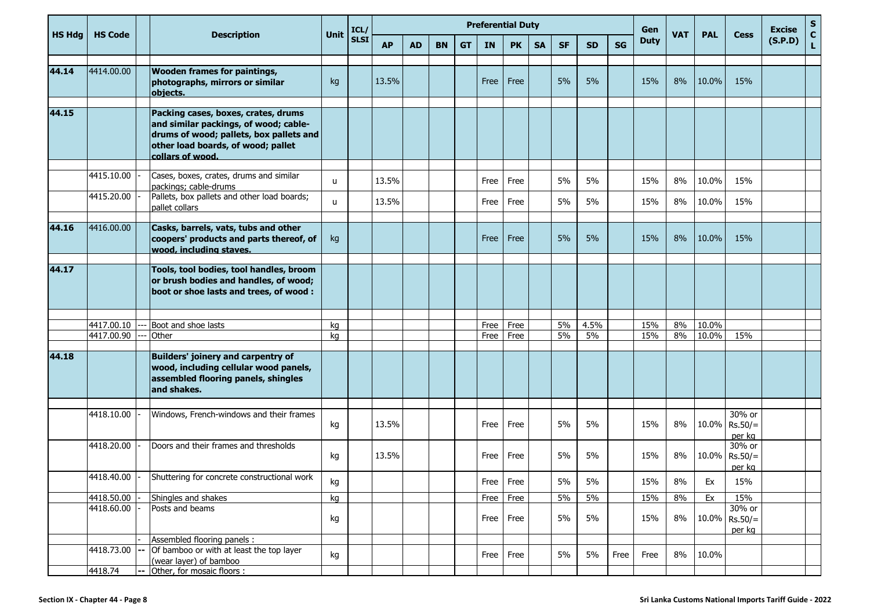|               |                          |                                                                                                                                                                                   |              | ICL/        |           |           |           |           |              | <b>Preferential Duty</b> |           |           |            |           | Gen         |            |                |                                      | <b>Excise</b> | $S_{C}$      |
|---------------|--------------------------|-----------------------------------------------------------------------------------------------------------------------------------------------------------------------------------|--------------|-------------|-----------|-----------|-----------|-----------|--------------|--------------------------|-----------|-----------|------------|-----------|-------------|------------|----------------|--------------------------------------|---------------|--------------|
| <b>HS Hdg</b> | <b>HS Code</b>           | <b>Description</b>                                                                                                                                                                | <b>Unit</b>  | <b>SLSI</b> | <b>AP</b> | <b>AD</b> | <b>BN</b> | <b>GT</b> | <b>IN</b>    | <b>PK</b>                | <b>SA</b> | <b>SF</b> | <b>SD</b>  | <b>SG</b> | <b>Duty</b> | <b>VAT</b> | <b>PAL</b>     | <b>Cess</b>                          | (S.P.D)       | $\mathbf{L}$ |
| 44.14         | 4414.00.00               | <b>Wooden frames for paintings,</b><br>photographs, mirrors or similar<br>objects.                                                                                                | kg           |             | 13.5%     |           |           |           | Free         | Free                     |           | 5%        | 5%         |           | 15%         | 8%         | 10.0%          | 15%                                  |               |              |
| 44.15         |                          | Packing cases, boxes, crates, drums<br>and similar packings, of wood; cable-<br>drums of wood; pallets, box pallets and<br>other load boards, of wood; pallet<br>collars of wood. |              |             |           |           |           |           |              |                          |           |           |            |           |             |            |                |                                      |               |              |
|               | 4415.10.00               | Cases, boxes, crates, drums and similar                                                                                                                                           |              |             |           |           |           |           |              |                          |           |           |            |           |             |            |                |                                      |               |              |
|               |                          | packings; cable-drums                                                                                                                                                             | u.           |             | 13.5%     |           |           |           | Free         | Free                     |           | 5%        | 5%         |           | 15%         | 8%         | 10.0%          | 15%                                  |               |              |
|               | 4415.20.00               | Pallets, box pallets and other load boards;<br>pallet collars                                                                                                                     | $\mathbf{u}$ |             | 13.5%     |           |           |           | Free         | Free                     |           | 5%        | 5%         |           | 15%         | 8%         | 10.0%          | 15%                                  |               |              |
| 44.16         | 4416.00.00               | Casks, barrels, vats, tubs and other<br>coopers' products and parts thereof, of<br>wood, including staves.                                                                        | kg           |             |           |           |           |           | Free         | Free                     |           | 5%        | 5%         |           | 15%         | 8%         | 10.0%          | 15%                                  |               |              |
| 44.17         |                          | Tools, tool bodies, tool handles, broom<br>or brush bodies and handles, of wood;<br>boot or shoe lasts and trees, of wood :                                                       |              |             |           |           |           |           |              |                          |           |           |            |           |             |            |                |                                      |               |              |
|               |                          |                                                                                                                                                                                   |              |             |           |           |           |           |              |                          |           |           |            |           |             |            |                |                                      |               |              |
|               | 4417.00.10<br>4417.00.90 | Boot and shoe lasts<br>Other                                                                                                                                                      | ka<br>kg     |             |           |           |           |           | Free<br>Free | Free<br>Free             |           | 5%<br>5%  | 4.5%<br>5% |           | 15%<br>15%  | 8%<br>8%   | 10.0%<br>10.0% | 15%                                  |               |              |
|               |                          |                                                                                                                                                                                   |              |             |           |           |           |           |              |                          |           |           |            |           |             |            |                |                                      |               |              |
| 44.18         |                          | <b>Builders' joinery and carpentry of</b><br>wood, including cellular wood panels,<br>assembled flooring panels, shingles<br>and shakes.                                          |              |             |           |           |           |           |              |                          |           |           |            |           |             |            |                |                                      |               |              |
|               |                          |                                                                                                                                                                                   |              |             |           |           |           |           |              |                          |           |           |            |           |             |            |                |                                      |               |              |
|               | 4418.10.00               | Windows, French-windows and their frames                                                                                                                                          | kg           |             | 13.5%     |           |           |           | Free         | Free                     |           | 5%        | 5%         |           | 15%         | 8%         |                | 30% or<br>$10.0\%$ Rs.50/=<br>per kg |               |              |
|               | 4418.20.00               | Doors and their frames and thresholds                                                                                                                                             | kg           |             | 13.5%     |           |           |           | Free         | Free                     |           | 5%        | 5%         |           | 15%         | 8%         |                | 30% or<br>$10.0\%$ Rs.50/=<br>per kg |               |              |
|               | 4418.40.00 -             | Shuttering for concrete constructional work                                                                                                                                       | kg           |             |           |           |           |           |              | Free Free                |           | 5%        | 5%         |           | 15%         | 8%         | Ex             | 15%                                  |               |              |
|               | 4418.50.00               | Shingles and shakes                                                                                                                                                               | kg           |             |           |           |           |           | Free         | Free                     |           | 5%        | 5%         |           | 15%         | 8%         | Ex             | 15%                                  |               |              |
|               | 4418.60.00               | Posts and beams                                                                                                                                                                   | kg           |             |           |           |           |           | Free         | Free                     |           | 5%        | 5%         |           | 15%         | 8%         |                | 30% or<br>$10.0\%$ Rs.50/=<br>per kg |               |              |
|               |                          | Assembled flooring panels :                                                                                                                                                       |              |             |           |           |           |           |              |                          |           |           |            |           |             |            |                |                                      |               |              |
|               | 4418.73.00               | Of bamboo or with at least the top layer<br>(wear layer) of bamboo                                                                                                                | kg           |             |           |           |           |           | Free         | Free                     |           | 5%        | 5%         | Free      | Free        | 8%         | 10.0%          |                                      |               |              |
|               | 4418.74                  | -- Other, for mosaic floors :                                                                                                                                                     |              |             |           |           |           |           |              |                          |           |           |            |           |             |            |                |                                      |               |              |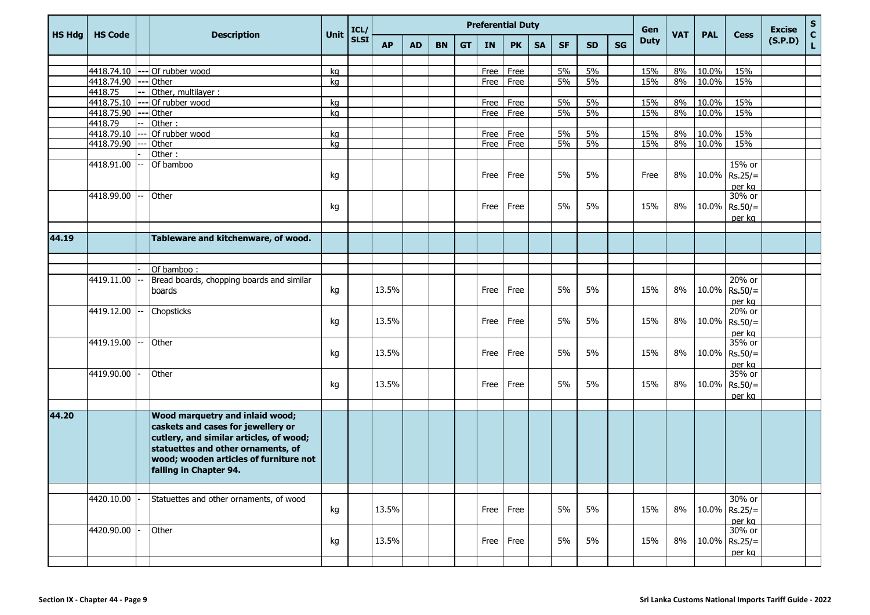|               |                |                                                                                                                                                                                                                                   |             | ICL/        |           |           |           |           |      | <b>Preferential Duty</b> |           |           |           |    | Gen         |            |            |                                      | <b>Excise</b> | S                |
|---------------|----------------|-----------------------------------------------------------------------------------------------------------------------------------------------------------------------------------------------------------------------------------|-------------|-------------|-----------|-----------|-----------|-----------|------|--------------------------|-----------|-----------|-----------|----|-------------|------------|------------|--------------------------------------|---------------|------------------|
| <b>HS Hdg</b> | <b>HS Code</b> | <b>Description</b>                                                                                                                                                                                                                | <b>Unit</b> | <b>SLSI</b> | <b>AP</b> | <b>AD</b> | <b>BN</b> | <b>GT</b> | IN   | <b>PK</b>                | <b>SA</b> | <b>SF</b> | <b>SD</b> | SG | <b>Duty</b> | <b>VAT</b> | <b>PAL</b> | <b>Cess</b>                          | (S.P.D)       | $\mathbf c$<br>L |
|               |                |                                                                                                                                                                                                                                   |             |             |           |           |           |           |      |                          |           |           |           |    |             |            |            |                                      |               |                  |
|               |                | 4418.74.10 --- Of rubber wood                                                                                                                                                                                                     | kq          |             |           |           |           |           | Free | Free                     |           | 5%        | 5%        |    | 15%         | 8%         | 10.0%      | 15%                                  |               |                  |
|               | 4418.74.90     | --- Other                                                                                                                                                                                                                         | kg          |             |           |           |           |           | Free | Free                     |           | 5%        | 5%        |    | 15%         | 8%         | 10.0%      | 15%                                  |               |                  |
|               | 4418.75        | Other, multilayer:                                                                                                                                                                                                                |             |             |           |           |           |           |      |                          |           |           |           |    |             |            |            |                                      |               |                  |
|               | 4418.75.10     | --- Of rubber wood                                                                                                                                                                                                                | kg          |             |           |           |           |           | Free | Free                     |           | 5%        | 5%        |    | 15%         | 8%         | 10.0%      | 15%                                  |               |                  |
|               | 4418.75.90     | --- Other                                                                                                                                                                                                                         | kg          |             |           |           |           |           | Free | Free                     |           | 5%        | 5%        |    | 15%         | 8%         | 10.0%      | 15%                                  |               |                  |
|               | 4418.79        | Other:                                                                                                                                                                                                                            |             |             |           |           |           |           |      |                          |           |           |           |    |             |            |            |                                      |               |                  |
|               | 4418.79.10     | Of rubber wood                                                                                                                                                                                                                    | kg          |             |           |           |           |           | Free | Free                     |           | 5%        | 5%        |    | 15%         | 8%         | 10.0%      | 15%                                  |               |                  |
|               | 4418.79.90     | Other                                                                                                                                                                                                                             | kg          |             |           |           |           |           | Free | Free                     |           | 5%        | 5%        |    | 15%         | 8%         | 10.0%      | 15%                                  |               |                  |
|               |                | Other:                                                                                                                                                                                                                            |             |             |           |           |           |           |      |                          |           |           |           |    |             |            |            |                                      |               |                  |
|               | 4418.91.00     | Of bamboo                                                                                                                                                                                                                         | kg          |             |           |           |           |           | Free | Free                     |           | 5%        | 5%        |    | Free        | 8%         |            | 15% or<br>$10.0\%$ Rs.25/=<br>per kg |               |                  |
|               | 4418.99.00     | Other                                                                                                                                                                                                                             | kg          |             |           |           |           |           | Free | Free                     |           | 5%        | 5%        |    | 15%         | 8%         |            | 30% or<br>$10.0\%$ Rs.50/=<br>per kg |               |                  |
|               |                |                                                                                                                                                                                                                                   |             |             |           |           |           |           |      |                          |           |           |           |    |             |            |            |                                      |               |                  |
| 44.19         |                | Tableware and kitchenware, of wood.                                                                                                                                                                                               |             |             |           |           |           |           |      |                          |           |           |           |    |             |            |            |                                      |               |                  |
|               |                |                                                                                                                                                                                                                                   |             |             |           |           |           |           |      |                          |           |           |           |    |             |            |            |                                      |               |                  |
|               |                | Of bamboo:                                                                                                                                                                                                                        |             |             |           |           |           |           |      |                          |           |           |           |    |             |            |            |                                      |               |                  |
|               | 4419.11.00     | Bread boards, chopping boards and similar<br>boards                                                                                                                                                                               | kg          |             | 13.5%     |           |           |           | Free | Free                     |           | 5%        | 5%        |    | 15%         | 8%         |            | 20% or<br>$10.0\%$ Rs.50/=<br>per kg |               |                  |
|               | 4419.12.00     | Chopsticks                                                                                                                                                                                                                        | kg          |             | 13.5%     |           |           |           | Free | Free                     |           | 5%        | 5%        |    | 15%         | 8%         |            | 20% or<br>$10.0\%$ Rs.50/=<br>per kg |               |                  |
|               | 4419.19.00     | Other                                                                                                                                                                                                                             | kg          |             | 13.5%     |           |           |           | Free | Free                     |           | 5%        | 5%        |    | 15%         | 8%         |            | 35% or<br>10.0% Rs.50/=<br>per kg    |               |                  |
|               | 4419.90.00     | Other                                                                                                                                                                                                                             | kg          |             | 13.5%     |           |           |           | Free | Free                     |           | 5%        | 5%        |    | 15%         | 8%         |            | 35% or<br>$10.0\%$ Rs.50/=<br>per kg |               |                  |
|               |                |                                                                                                                                                                                                                                   |             |             |           |           |           |           |      |                          |           |           |           |    |             |            |            |                                      |               |                  |
| 44.20         |                | <b>Wood marquetry and inlaid wood;</b><br>caskets and cases for jewellery or<br>cutlery, and similar articles, of wood;<br>statuettes and other ornaments, of<br>wood; wooden articles of furniture not<br>falling in Chapter 94. |             |             |           |           |           |           |      |                          |           |           |           |    |             |            |            |                                      |               |                  |
|               |                |                                                                                                                                                                                                                                   |             |             |           |           |           |           |      |                          |           |           |           |    |             |            |            |                                      |               |                  |
|               | 4420.10.00     | Statuettes and other ornaments, of wood                                                                                                                                                                                           | kg          |             | 13.5%     |           |           |           | Free | Free                     |           | 5%        | 5%        |    | 15%         | 8%         |            | 30% or<br>$10.0\%$ Rs.25/=<br>per kg |               |                  |
|               | 4420.90.00     | Other                                                                                                                                                                                                                             | kg          |             | 13.5%     |           |           |           | Free | Free                     |           | 5%        | 5%        |    | 15%         | 8%         |            | 30% or<br>$10.0\%$ Rs.25/=<br>per kg |               |                  |
|               |                |                                                                                                                                                                                                                                   |             |             |           |           |           |           |      |                          |           |           |           |    |             |            |            |                                      |               |                  |